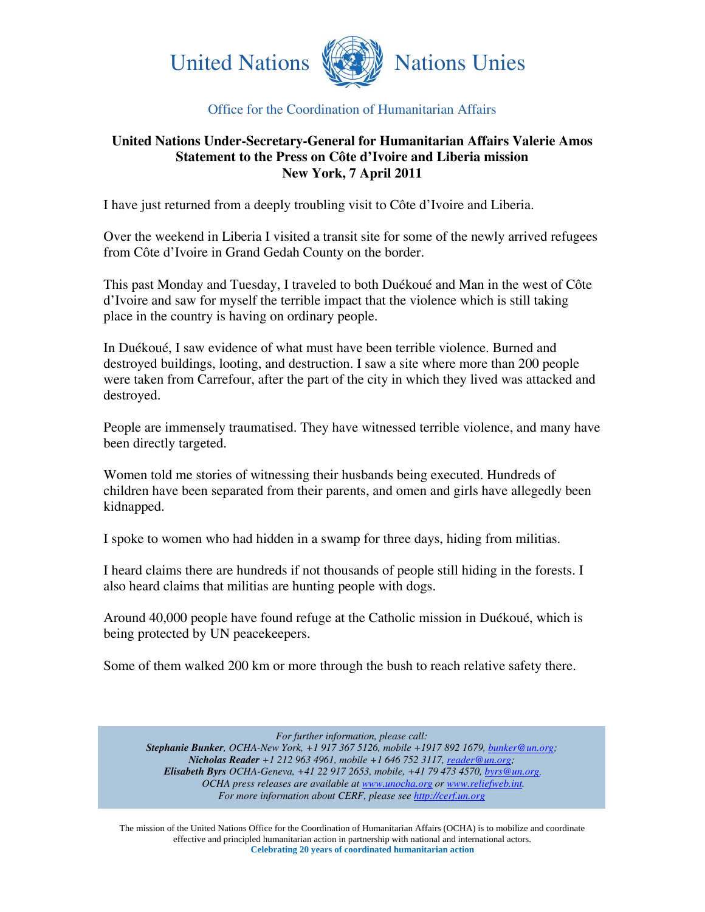

## Office for the Coordination of Humanitarian Affairs

## **United Nations Under-Secretary-General for Humanitarian Affairs Valerie Amos Statement to the Press on Côte d'Ivoire and Liberia mission New York, 7 April 2011**

I have just returned from a deeply troubling visit to Côte d'Ivoire and Liberia.

Over the weekend in Liberia I visited a transit site for some of the newly arrived refugees from Côte d'Ivoire in Grand Gedah County on the border.

This past Monday and Tuesday, I traveled to both Duékoué and Man in the west of Côte d'Ivoire and saw for myself the terrible impact that the violence which is still taking place in the country is having on ordinary people.

In Duékoué, I saw evidence of what must have been terrible violence. Burned and destroyed buildings, looting, and destruction. I saw a site where more than 200 people were taken from Carrefour, after the part of the city in which they lived was attacked and destroyed.

People are immensely traumatised. They have witnessed terrible violence, and many have been directly targeted.

Women told me stories of witnessing their husbands being executed. Hundreds of children have been separated from their parents, and omen and girls have allegedly been kidnapped.

I spoke to women who had hidden in a swamp for three days, hiding from militias.

I heard claims there are hundreds if not thousands of people still hiding in the forests. I also heard claims that militias are hunting people with dogs.

Around 40,000 people have found refuge at the Catholic mission in Duékoué, which is being protected by UN peacekeepers.

Some of them walked 200 km or more through the bush to reach relative safety there.

*For further information, please call:* 

*Stephanie Bunker, OCHA-New York, +1 917 367 5126, mobile +1917 892 1679, bunker@un.org; Nicholas Reader +1 212 963 4961, mobile +1 646 752 3117, reader@un.org; Elisabeth Byrs OCHA-Geneva, +41 22 917 2653, mobile, +41 79 473 4570, byrs@un.org. OCHA press releases are available at www.unocha.org or www.reliefweb.int. For more information about CERF, please see http://cerf.un.org* 

The mission of the United Nations Office for the Coordination of Humanitarian Affairs (OCHA) is to mobilize and coordinate effective and principled humanitarian action in partnership with national and international actors. **Celebrating 20 years of coordinated humanitarian action**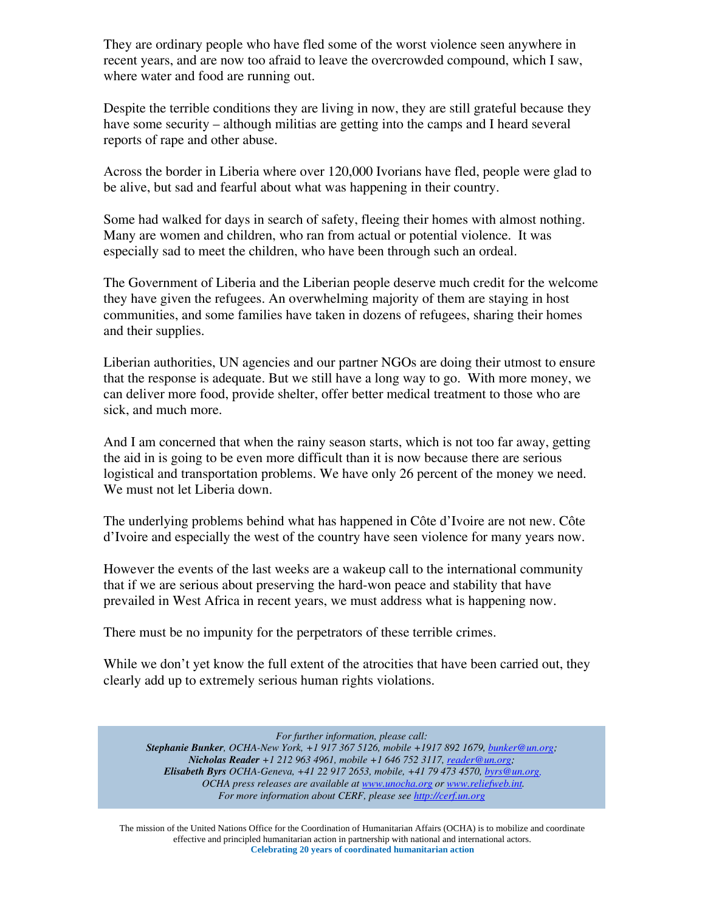They are ordinary people who have fled some of the worst violence seen anywhere in recent years, and are now too afraid to leave the overcrowded compound, which I saw, where water and food are running out.

Despite the terrible conditions they are living in now, they are still grateful because they have some security – although militias are getting into the camps and I heard several reports of rape and other abuse.

Across the border in Liberia where over 120,000 Ivorians have fled, people were glad to be alive, but sad and fearful about what was happening in their country.

Some had walked for days in search of safety, fleeing their homes with almost nothing. Many are women and children, who ran from actual or potential violence. It was especially sad to meet the children, who have been through such an ordeal.

The Government of Liberia and the Liberian people deserve much credit for the welcome they have given the refugees. An overwhelming majority of them are staying in host communities, and some families have taken in dozens of refugees, sharing their homes and their supplies.

Liberian authorities, UN agencies and our partner NGOs are doing their utmost to ensure that the response is adequate. But we still have a long way to go. With more money, we can deliver more food, provide shelter, offer better medical treatment to those who are sick, and much more.

And I am concerned that when the rainy season starts, which is not too far away, getting the aid in is going to be even more difficult than it is now because there are serious logistical and transportation problems. We have only 26 percent of the money we need. We must not let Liberia down.

The underlying problems behind what has happened in Côte d'Ivoire are not new. Côte d'Ivoire and especially the west of the country have seen violence for many years now.

However the events of the last weeks are a wakeup call to the international community that if we are serious about preserving the hard-won peace and stability that have prevailed in West Africa in recent years, we must address what is happening now.

There must be no impunity for the perpetrators of these terrible crimes.

While we don't yet know the full extent of the atrocities that have been carried out, they clearly add up to extremely serious human rights violations.

*For further information, please call:* 

*Stephanie Bunker, OCHA-New York, +1 917 367 5126, mobile +1917 892 1679, bunker@un.org; Nicholas Reader +1 212 963 4961, mobile +1 646 752 3117, reader@un.org; Elisabeth Byrs OCHA-Geneva, +41 22 917 2653, mobile, +41 79 473 4570, byrs@un.org. OCHA press releases are available at www.unocha.org or www.reliefweb.int. For more information about CERF, please see http://cerf.un.org* 

The mission of the United Nations Office for the Coordination of Humanitarian Affairs (OCHA) is to mobilize and coordinate effective and principled humanitarian action in partnership with national and international actors. **Celebrating 20 years of coordinated humanitarian action**